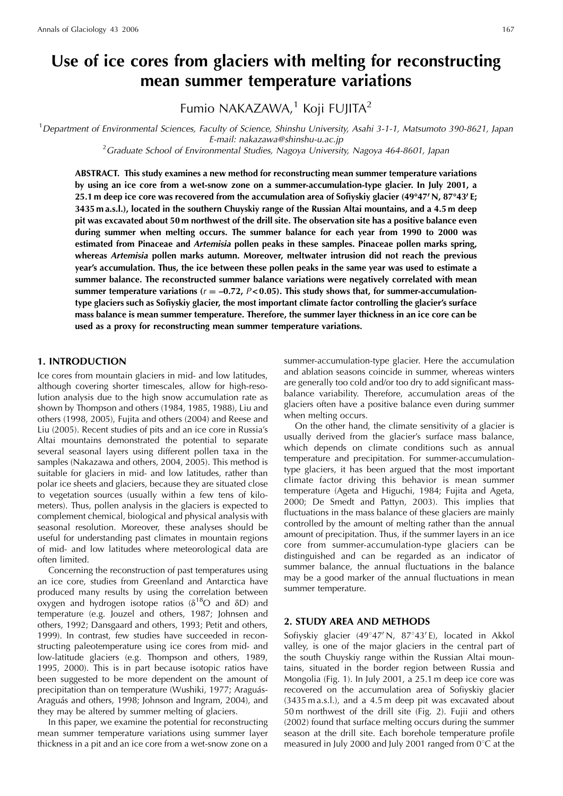# **Use of ice cores from glaciers with melting for reconstructing mean summer temperature variations**

Fumio NAKAZAWA, $1$  Koji FUJITA<sup>2</sup>

<sup>1</sup>Department of Environmental Sciences, Faculty of Science, Shinshu University, Asahi 3-1-1, Matsumoto 390-8621, Japan

E-mail: nakazawa@shinshu-u.ac.jp<br><sup>2</sup>Graduate School of Environmental Studies, Nagoya University, Nagoya 464-8601, Japan

**ABSTRACT. This study examines a new method for reconstructing mean summer temperature variations by using an ice core from a wet-snow zone on a summer-accumulation-type glacier. In July 2001, a 25.1 m deep ice core was recovered from the accumulation area of Sofiyskiy glacier (49**8**47**<sup>0</sup> **N, 87**8**43**<sup>0</sup> **E; 3435 m a.s.l.), located in the southern Chuyskiy range of the Russian Altai mountains, and a 4.5 m deep pit was excavated about 50 m northwest of the drill site. The observation site has a positive balance even during summer when melting occurs. The summer balance for each year from 1990 to 2000 was estimated from Pinaceae and** *Artemisia* **pollen peaks in these samples. Pinaceae pollen marks spring, whereas** *Artemisia* **pollen marks autumn. Moreover, meltwater intrusion did not reach the previous year's accumulation. Thus, the ice between these pollen peaks in the same year was used to estimate a summer balance. The reconstructed summer balance variations were negatively correlated with mean** summer temperature variations ( $r = -0.72$ ,  $P < 0.05$ ). This study shows that, for summer-accumulation**type glaciers such as Sofiyskiy glacier, the most important climate factor controlling the glacier's surface mass balance is mean summer temperature. Therefore, the summer layer thickness in an ice core can be used as a proxy for reconstructing mean summer temperature variations.**

## **1. INTRODUCTION**

Ice cores from mountain glaciers in mid- and low latitudes, although covering shorter timescales, allow for high-resolution analysis due to the high snow accumulation rate as shown by Thompson and others (1984, 1985, 1988), Liu and others (1998, 2005), Fujita and others (2004) and Reese and Liu (2005). Recent studies of pits and an ice core in Russia's Altai mountains demonstrated the potential to separate several seasonal layers using different pollen taxa in the samples (Nakazawa and others, 2004, 2005). This method is suitable for glaciers in mid- and low latitudes, rather than polar ice sheets and glaciers, because they are situated close to vegetation sources (usually within a few tens of kilometers). Thus, pollen analysis in the glaciers is expected to complement chemical, biological and physical analysis with seasonal resolution. Moreover, these analyses should be useful for understanding past climates in mountain regions of mid- and low latitudes where meteorological data are often limited.

Concerning the reconstruction of past temperatures using an ice core, studies from Greenland and Antarctica have produced many results by using the correlation between oxygen and hydrogen isotope ratios ( $\delta^{18}$ O and  $\delta$ D) and temperature (e.g. Jouzel and others, 1987; Johnsen and others, 1992; Dansgaard and others, 1993; Petit and others, 1999). In contrast, few studies have succeeded in reconstructing paleotemperature using ice cores from mid- and low-latitude glaciers (e.g. Thompson and others, 1989, 1995, 2000). This is in part because isotopic ratios have been suggested to be more dependent on the amount of precipitation than on temperature (Wushiki, 1977; Araguás-Araguás and others, 1998; Johnson and Ingram, 2004), and they may be altered by summer melting of glaciers.

In this paper, we examine the potential for reconstructing mean summer temperature variations using summer layer thickness in a pit and an ice core from a wet-snow zone on a

summer-accumulation-type glacier. Here the accumulation and ablation seasons coincide in summer, whereas winters are generally too cold and/or too dry to add significant massbalance variability. Therefore, accumulation areas of the glaciers often have a positive balance even during summer when melting occurs.

On the other hand, the climate sensitivity of a glacier is usually derived from the glacier's surface mass balance, which depends on climate conditions such as annual temperature and precipitation. For summer-accumulationtype glaciers, it has been argued that the most important climate factor driving this behavior is mean summer temperature (Ageta and Higuchi, 1984; Fujita and Ageta, 2000; De Smedt and Pattyn, 2003). This implies that fluctuations in the mass balance of these glaciers are mainly controlled by the amount of melting rather than the annual amount of precipitation. Thus, if the summer layers in an ice core from summer-accumulation-type glaciers can be distinguished and can be regarded as an indicator of summer balance, the annual fluctuations in the balance may be a good marker of the annual fluctuations in mean summer temperature.

#### **2. STUDY AREA AND METHODS**

Sofiyskiy glacier (49°47' N, 87°43' E), located in Akkol valley, is one of the major glaciers in the central part of the south Chuyskiy range within the Russian Altai mountains, situated in the border region between Russia and Mongolia (Fig. 1). In July 2001, a 25.1 m deep ice core was recovered on the accumulation area of Sofiyskiy glacier (3435 m a.s.l.), and a 4.5 m deep pit was excavated about 50 m northwest of the drill site (Fig. 2). Fujii and others (2002) found that surface melting occurs during the summer season at the drill site. Each borehole temperature profile measured in July 2000 and July 2001 ranged from  $0^{\circ}$ C at the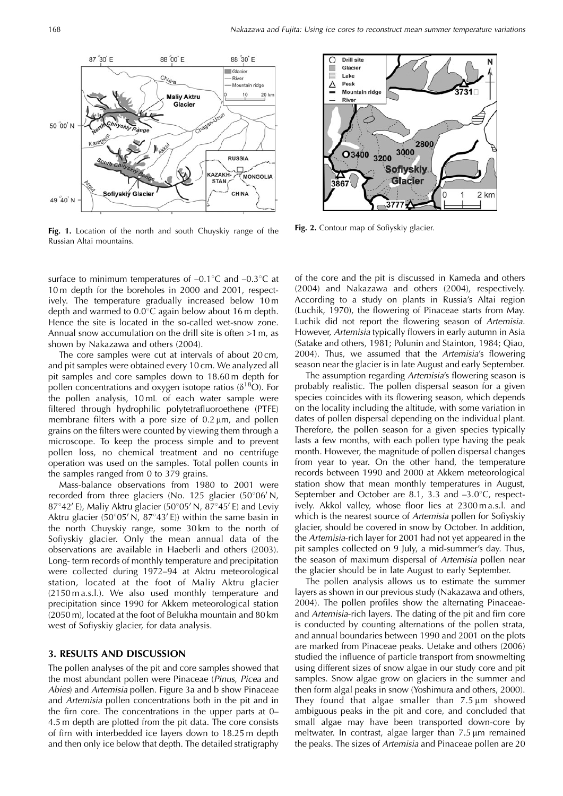

**Fig. 1.** Location of the north and south Chuyskiy range of the Russian Altai mountains.

surface to minimum temperatures of  $-0.1^{\circ}C$  and  $-0.3^{\circ}C$  at 10 m depth for the boreholes in 2000 and 2001, respectively. The temperature gradually increased below 10 m depth and warmed to  $0.0^{\circ}$ C again below about 16 m depth. Hence the site is located in the so-called wet-snow zone. Annual snow accumulation on the drill site is often >1 m, as shown by Nakazawa and others (2004).

The core samples were cut at intervals of about 20 cm, and pit samples were obtained every 10 cm. We analyzed all pit samples and core samples down to 18.60 m depth for pollen concentrations and oxygen isotope ratios ( $\delta^{18}O$ ). For the pollen analysis, 10 mL of each water sample were filtered through hydrophilic polytetrafluoroethene (PTFE) membrane filters with a pore size of  $0.2 \mu m$ , and pollen grains on the filters were counted by viewing them through a microscope. To keep the process simple and to prevent pollen loss, no chemical treatment and no centrifuge operation was used on the samples. Total pollen counts in the samples ranged from 0 to 379 grains.

Mass-balance observations from 1980 to 2001 were recorded from three glaciers (No. 125 glacier  $(50^{\circ}06'N,$  $87^{\circ}42'$  E), Maliy Aktru glacier (50°05' N,  $87^{\circ}45'$  E) and Leviy Aktru glacier (50°05' N,  $87^{\circ}43'$  E)) within the same basin in the north Chuyskiy range, some 30 km to the north of Sofiyskiy glacier. Only the mean annual data of the observations are available in Haeberli and others (2003). Long- term records of monthly temperature and precipitation were collected during 1972–94 at Aktru meteorological station, located at the foot of Maliy Aktru glacier (2150 m a.s.l.). We also used monthly temperature and precipitation since 1990 for Akkem meteorological station (2050 m), located at the foot of Belukha mountain and 80 km west of Sofiyskiy glacier, for data analysis.

### **3. RESULTS AND DISCUSSION**

The pollen analyses of the pit and core samples showed that the most abundant pollen were Pinaceae (Pinus, Picea and Abies) and Artemisia pollen. Figure 3a and b show Pinaceae and Artemisia pollen concentrations both in the pit and in the firn core. The concentrations in the upper parts at 0– 4.5 m depth are plotted from the pit data. The core consists of firn with interbedded ice layers down to 18.25 m depth and then only ice below that depth. The detailed stratigraphy



**Fig. 2.** Contour map of Sofiyskiy glacier.

of the core and the pit is discussed in Kameda and others (2004) and Nakazawa and others (2004), respectively. According to a study on plants in Russia's Altai region (Luchik, 1970), the flowering of Pinaceae starts from May. Luchik did not report the flowering season of Artemisia. However, Artemisia typically flowers in early autumn in Asia (Satake and others, 1981; Polunin and Stainton, 1984; Qiao, 2004). Thus, we assumed that the Artemisia's flowering season near the glacier is in late August and early September.

The assumption regarding Artemisia's flowering season is probably realistic. The pollen dispersal season for a given species coincides with its flowering season, which depends on the locality including the altitude, with some variation in dates of pollen dispersal depending on the individual plant. Therefore, the pollen season for a given species typically lasts a few months, with each pollen type having the peak month. However, the magnitude of pollen dispersal changes from year to year. On the other hand, the temperature records between 1990 and 2000 at Akkem meteorological station show that mean monthly temperatures in August, September and October are 8.1, 3.3 and  $-3.0^{\circ}$ C, respectively. Akkol valley, whose floor lies at 2300 m a.s.l. and which is the nearest source of Artemisia pollen for Sofiyskiy glacier, should be covered in snow by October. In addition, the Artemisia-rich layer for 2001 had not yet appeared in the pit samples collected on 9 July, a mid-summer's day. Thus, the season of maximum dispersal of Artemisia pollen near the glacier should be in late August to early September.

The pollen analysis allows us to estimate the summer layers as shown in our previous study (Nakazawa and others, 2004). The pollen profiles show the alternating Pinaceaeand Artemisia-rich layers. The dating of the pit and firn core is conducted by counting alternations of the pollen strata, and annual boundaries between 1990 and 2001 on the plots are marked from Pinaceae peaks. Uetake and others (2006) studied the influence of particle transport from snowmelting using different sizes of snow algae in our study core and pit samples. Snow algae grow on glaciers in the summer and then form algal peaks in snow (Yoshimura and others, 2000). They found that algae smaller than  $7.5 \mu m$  showed ambiguous peaks in the pit and core, and concluded that small algae may have been transported down-core by meltwater. In contrast, algae larger than  $7.5 \,\mu m$  remained the peaks. The sizes of Artemisia and Pinaceae pollen are 20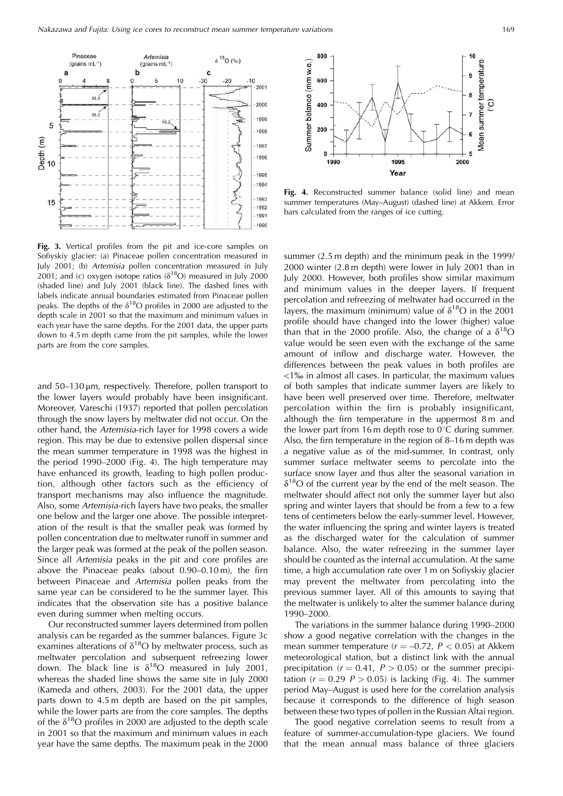

**Fig. 3.** Vertical profiles from the pit and ice-core samples on Sofiyskiy glacier: (a) Pinaceae pollen concentration measured in July 2001; (b) Artemisia pollen concentration measured in July 2001; and (c) oxygen isotope ratios ( $\delta^{18}$ O) measured in July 2000 (shaded line) and July 2001 (black line). The dashed lines with labels indicate annual boundaries estimated from Pinaceae pollen peaks. The depths of the  $\delta^{18}O$  profiles in 2000 are adjusted to the depth scale in 2001 so that the maximum and minimum values in each year have the same depths. For the 2001 data, the upper parts down to 4.5 m depth came from the pit samples, while the lower parts are from the core samples.

and  $50-130 \,\mu m$ , respectively. Therefore, pollen transport to the lower layers would probably have been insignificant. Moreover, Vareschi (1937) reported that pollen percolation through the snow layers by meltwater did not occur. On the other hand, the Artemisia-rich layer for 1998 covers a wide region. This may be due to extensive pollen dispersal since the mean summer temperature in 1998 was the highest in the period 1990–2000 (Fig. 4). The high temperature may have enhanced its growth, leading to high pollen production, although other factors such as the efficiency of transport mechanisms may also influence the magnitude. Also, some Artemisia-rich layers have two peaks, the smaller one below and the larger one above. The possible interpretation of the result is that the smaller peak was formed by pollen concentration due to meltwater runoff in summer and the larger peak was formed at the peak of the pollen season. Since all Artemisia peaks in the pit and core profiles are above the Pinaceae peaks (about 0.90–0.10 m), the firn between Pinaceae and Artemisia pollen peaks from the same year can be considered to be the summer layer. This indicates that the observation site has a positive balance even during summer when melting occurs.

Our reconstructed summer layers determined from pollen analysis can be regarded as the summer balances. Figure 3c examines alterations of  $\delta^{18}O$  by meltwater process, such as meltwater percolation and subsequent refreezing lower down. The black line is  $\delta^{18}O$  measured in July 2001, whereas the shaded line shows the same site in July 2000 (Kameda and others, 2003). For the 2001 data, the upper parts down to 4.5 m depth are based on the pit samples, while the lower parts are from the core samples. The depths of the  $\delta^{18}$ O profiles in 2000 are adjusted to the depth scale in 2001 so that the maximum and minimum values in each year have the same depths. The maximum peak in the 2000



Fig. 4. Reconstructed summer balance (solid line) and mean summer temperatures (May–August) (dashed line) at Akkem. Error bars calculated from the ranges of ice cutting.

summer (2.5 m depth) and the minimum peak in the 1999/ 2000 winter (2.8 m depth) were lower in July 2001 than in July 2000. However, both profiles show similar maximum and minimum values in the deeper layers. If frequent percolation and refreezing of meltwater had occurred in the layers, the maximum (minimum) value of  $\delta^{18}O$  in the 2001 profile should have changed into the lower (higher) value than that in the 2000 profile. Also, the change of a  $\delta^{18}O$ value would be seen even with the exchange of the same amount of inflow and discharge water. However, the differences between the peak values in both profiles are  $\langle 1\%$  in almost all cases. In particular, the maximum values of both samples that indicate summer layers are likely to have been well preserved over time. Therefore, meltwater percolation within the firn is probably insignificant, although the firn temperature in the uppermost 8 m and the lower part from 16 m depth rose to  $0^{\circ}$ C during summer. Also, the firn temperature in the region of 8–16 m depth was a negative value as of the mid-summer. In contrast, only summer surface meltwater seems to percolate into the surface snow layer and thus alter the seasonal variation in  $\delta^{18}$ O of the current year by the end of the melt season. The meltwater should affect not only the summer layer but also spring and winter layers that should be from a few to a few tens of centimeters below the early-summer level. However, the water influencing the spring and winter layers is treated as the discharged water for the calculation of summer balance. Also, the water refreezing in the summer layer should be counted as the internal accumulation. At the same time, a high accumulation rate over 1 m on Sofiyskiy glacier may prevent the meltwater from percolating into the previous summer layer. All of this amounts to saying that the meltwater is unlikely to alter the summer balance during 1990–2000.

The variations in the summer balance during 1990–2000 show a good negative correlation with the changes in the mean summer temperature  $(r = -0.72, P < 0.05)$  at Akkem meteorological station, but a distinct link with the annual precipitation ( $r = 0.41$ ,  $P > 0.05$ ) or the summer precipitation ( $r = 0.29$   $P > 0.05$ ) is lacking (Fig. 4). The summer period May–August is used here for the correlation analysis because it corresponds to the difference of high season between these two types of pollen in the Russian Altai region.

The good negative correlation seems to result from a feature of summer-accumulation-type glaciers. We found that the mean annual mass balance of three glaciers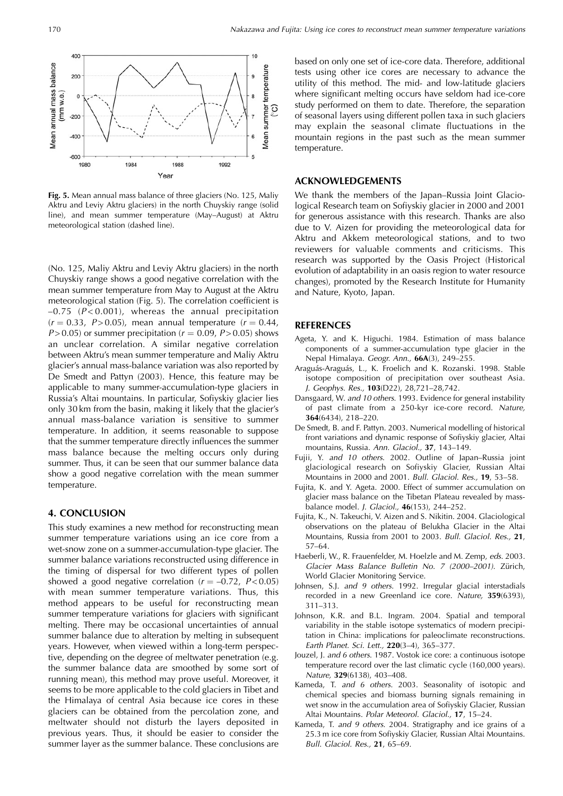

**Fig. 5.** Mean annual mass balance of three glaciers (No. 125, Maliy Aktru and Leviy Aktru glaciers) in the north Chuyskiy range (solid line), and mean summer temperature (May–August) at Aktru meteorological station (dashed line).

(No. 125, Maliy Aktru and Leviy Aktru glaciers) in the north Chuyskiy range shows a good negative correlation with the mean summer temperature from May to August at the Aktru meteorological station (Fig. 5). The correlation coefficient is  $-0.75$  ( $P < 0.001$ ), whereas the annual precipitation  $(r = 0.33, P > 0.05)$ , mean annual temperature  $(r = 0.44, P)$  $P > 0.05$ ) or summer precipitation ( $r = 0.09$ ,  $P > 0.05$ ) shows an unclear correlation. A similar negative correlation between Aktru's mean summer temperature and Maliy Aktru glacier's annual mass-balance variation was also reported by De Smedt and Pattyn (2003). Hence, this feature may be applicable to many summer-accumulation-type glaciers in Russia's Altai mountains. In particular, Sofiyskiy glacier lies only 30 km from the basin, making it likely that the glacier's annual mass-balance variation is sensitive to summer temperature. In addition, it seems reasonable to suppose that the summer temperature directly influences the summer mass balance because the melting occurs only during summer. Thus, it can be seen that our summer balance data show a good negative correlation with the mean summer temperature.

## **4. CONCLUSION**

This study examines a new method for reconstructing mean summer temperature variations using an ice core from a wet-snow zone on a summer-accumulation-type glacier. The summer balance variations reconstructed using difference in the timing of dispersal for two different types of pollen showed a good negative correlation  $(r = -0.72, P < 0.05)$ with mean summer temperature variations. Thus, this method appears to be useful for reconstructing mean summer temperature variations for glaciers with significant melting. There may be occasional uncertainties of annual summer balance due to alteration by melting in subsequent years. However, when viewed within a long-term perspective, depending on the degree of meltwater penetration (e.g. the summer balance data are smoothed by some sort of running mean), this method may prove useful. Moreover, it seems to be more applicable to the cold glaciers in Tibet and the Himalaya of central Asia because ice cores in these glaciers can be obtained from the percolation zone, and meltwater should not disturb the layers deposited in previous years. Thus, it should be easier to consider the summer layer as the summer balance. These conclusions are based on only one set of ice-core data. Therefore, additional tests using other ice cores are necessary to advance the utility of this method. The mid- and low-latitude glaciers where significant melting occurs have seldom had ice-core study performed on them to date. Therefore, the separation of seasonal layers using different pollen taxa in such glaciers may explain the seasonal climate fluctuations in the mountain regions in the past such as the mean summer temperature.

## **ACKNOWLEDGEMENTS**

We thank the members of the Japan–Russia Joint Glaciological Research team on Sofiyskiy glacier in 2000 and 2001 for generous assistance with this research. Thanks are also due to V. Aizen for providing the meteorological data for Aktru and Akkem meteorological stations, and to two reviewers for valuable comments and criticisms. This research was supported by the Oasis Project (Historical evolution of adaptability in an oasis region to water resource changes), promoted by the Research Institute for Humanity and Nature, Kyoto, Japan.

#### **REFERENCES**

- Ageta, Y. and K. Higuchi. 1984. Estimation of mass balance components of a summer-accumulation type glacier in the Nepal Himalaya. Geogr. Ann., **66A**(3), 249–255.
- Araguás-Araguás, L., K. Froelich and K. Rozanski. 1998. Stable isotope composition of precipitation over southeast Asia. J. Geophys. Res., **103**(D22), 28,721–28,742.
- Dansgaard, W. and 10 others. 1993. Evidence for general instability of past climate from a 250-kyr ice-core record. Nature, **364**(6434), 218–220.
- De Smedt, B. and F. Pattyn. 2003. Numerical modelling of historical front variations and dynamic response of Sofiyskiy glacier, Altai mountains, Russia. Ann. Glaciol., **37**, 143–149.
- Fujii, Y. and 10 others. 2002. Outline of Japan–Russia joint glaciological research on Sofiyskiy Glacier, Russian Altai Mountains in 2000 and 2001. Bull. Glaciol. Res., **19**, 53–58.
- Fujita, K. and Y. Ageta. 2000. Effect of summer accumulation on glacier mass balance on the Tibetan Plateau revealed by massbalance model. J. Glaciol., **46**(153), 244–252.
- Fujita, K., N. Takeuchi, V. Aizen and S. Nikitin. 2004. Glaciological observations on the plateau of Belukha Glacier in the Altai Mountains, Russia from 2001 to 2003. Bull. Glaciol. Res., **21**, 57–64.
- Haeberli, W., R. Frauenfelder, M. Hoelzle and M. Zemp, eds. 2003. Glacier Mass Balance Bulletin No. 7 (2000–2001). Zürich, World Glacier Monitoring Service.
- Johnsen, S.J. and 9 others. 1992. Irregular glacial interstadials recorded in a new Greenland ice core. Nature, **359**(6393), 311–313.
- Johnson, K.R. and B.L. Ingram. 2004. Spatial and temporal variability in the stable isotope systematics of modern precipitation in China: implications for paleoclimate reconstructions. Earth Planet. Sci. Lett., **220**(3–4), 365–377.
- Jouzel, J. and 6 others. 1987. Vostok ice core: a continuous isotope temperature record over the last climatic cycle (160,000 years). Nature, **329**(6138), 403–408.
- Kameda, T. and 6 others. 2003. Seasonality of isotopic and chemical species and biomass burning signals remaining in wet snow in the accumulation area of Sofiyskiy Glacier, Russian Altai Mountains. Polar Meteorol. Glaciol., **17**, 15–24.
- Kameda, T. and 9 others. 2004. Stratigraphy and ice grains of a 25.3 m ice core from Sofiyskiy Glacier, Russian Altai Mountains. Bull. Glaciol. Res., **21**, 65–69.